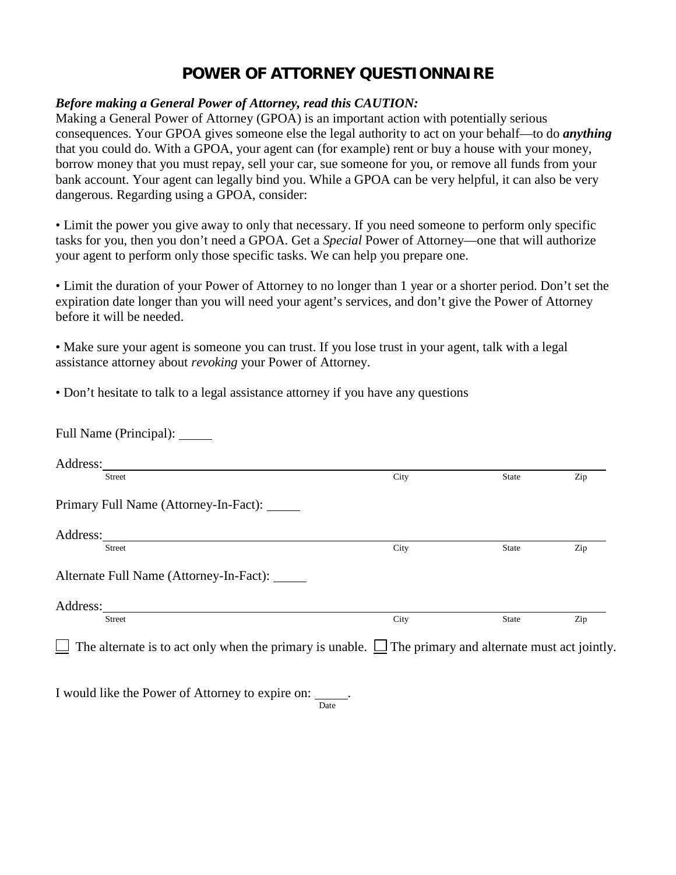## **POWER OF ATTORNEY QUESTIONNAIRE**

## *Before making a General Power of Attorney, read this CAUTION:*

Making a General Power of Attorney (GPOA) is an important action with potentially serious consequences. Your GPOA gives someone else the legal authority to act on your behalf—to do *anything*  that you could do. With a GPOA, your agent can (for example) rent or buy a house with your money, borrow money that you must repay, sell your car, sue someone for you, or remove all funds from your bank account. Your agent can legally bind you. While a GPOA can be very helpful, it can also be very dangerous. Regarding using a GPOA, consider:

• Limit the power you give away to only that necessary. If you need someone to perform only specific tasks for you, then you don't need a GPOA. Get a *Special* Power of Attorney—one that will authorize your agent to perform only those specific tasks. We can help you prepare one.

• Limit the duration of your Power of Attorney to no longer than 1 year or a shorter period. Don't set the expiration date longer than you will need your agent's services, and don't give the Power of Attorney before it will be needed.

• Make sure your agent is someone you can trust. If you lose trust in your agent, talk with a legal assistance attorney about *revoking* your Power of Attorney.

• Don't hesitate to talk to a legal assistance attorney if you have any questions

<u>Date</u>

| Full Name (Principal): ______                                                                                      |      |              |     |
|--------------------------------------------------------------------------------------------------------------------|------|--------------|-----|
| Address:                                                                                                           |      |              |     |
| <b>Street</b>                                                                                                      | City | <b>State</b> | Zip |
| Primary Full Name (Attorney-In-Fact): ______                                                                       |      |              |     |
|                                                                                                                    |      |              |     |
| <b>Street</b>                                                                                                      | City | State        | Zip |
| Alternate Full Name (Attorney-In-Fact):                                                                            |      |              |     |
| Address:                                                                                                           |      |              |     |
| <b>Street</b>                                                                                                      | City | State        | Zip |
| $\Box$ The alternate is to act only when the primary is unable. $\Box$ The primary and alternate must act jointly. |      |              |     |
|                                                                                                                    |      |              |     |
| I would like the Power of Attorney to expire on: ______.                                                           |      |              |     |